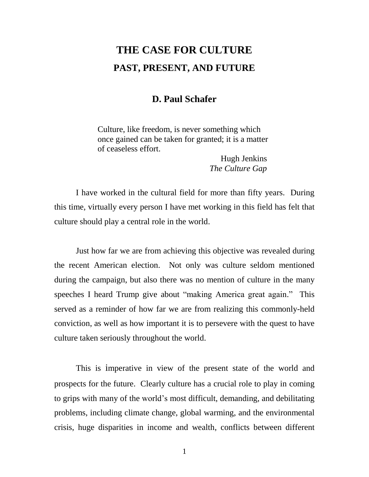## **THE CASE FOR CULTURE PAST, PRESENT, AND FUTURE**

## **D. Paul Schafer**

Culture, like freedom, is never something which once gained can be taken for granted; it is a matter of ceaseless effort.

> Hugh Jenkins  *The Culture Gap*

I have worked in the cultural field for more than fifty years. During this time, virtually every person I have met working in this field has felt that culture should play a central role in the world.

Just how far we are from achieving this objective was revealed during the recent American election. Not only was culture seldom mentioned during the campaign, but also there was no mention of culture in the many speeches I heard Trump give about "making America great again." This served as a reminder of how far we are from realizing this commonly-held conviction, as well as how important it is to persevere with the quest to have culture taken seriously throughout the world.

This is imperative in view of the present state of the world and prospects for the future. Clearly culture has a crucial role to play in coming to grips with many of the world's most difficult, demanding, and debilitating problems, including climate change, global warming, and the environmental crisis, huge disparities in income and wealth, conflicts between different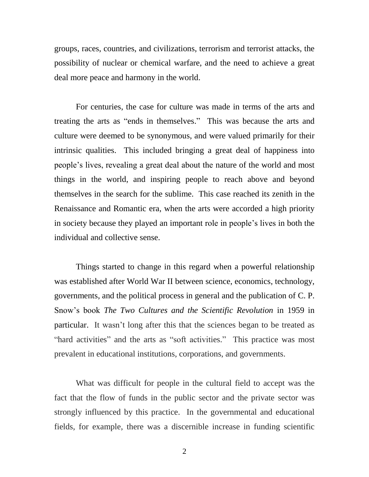groups, races, countries, and civilizations, terrorism and terrorist attacks, the possibility of nuclear or chemical warfare, and the need to achieve a great deal more peace and harmony in the world.

For centuries, the case for culture was made in terms of the arts and treating the arts as "ends in themselves." This was because the arts and culture were deemed to be synonymous, and were valued primarily for their intrinsic qualities. This included bringing a great deal of happiness into people's lives, revealing a great deal about the nature of the world and most things in the world, and inspiring people to reach above and beyond themselves in the search for the sublime. This case reached its zenith in the Renaissance and Romantic era, when the arts were accorded a high priority in society because they played an important role in people's lives in both the individual and collective sense.

Things started to change in this regard when a powerful relationship was established after World War II between science, economics, technology, governments, and the political process in general and the publication of C. P. Snow's book *The Two Cultures and the Scientific Revolution* in 1959 in particular. It wasn't long after this that the sciences began to be treated as "hard activities" and the arts as "soft activities." This practice was most prevalent in educational institutions, corporations, and governments.

What was difficult for people in the cultural field to accept was the fact that the flow of funds in the public sector and the private sector was strongly influenced by this practice. In the governmental and educational fields, for example, there was a discernible increase in funding scientific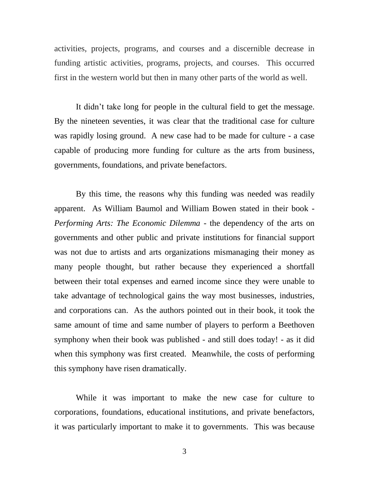activities, projects, programs, and courses and a discernible decrease in funding artistic activities, programs, projects, and courses. This occurred first in the western world but then in many other parts of the world as well.

It didn't take long for people in the cultural field to get the message. By the nineteen seventies, it was clear that the traditional case for culture was rapidly losing ground. A new case had to be made for culture - a case capable of producing more funding for culture as the arts from business, governments, foundations, and private benefactors.

By this time, the reasons why this funding was needed was readily apparent. As William Baumol and William Bowen stated in their book - *Performing Arts: The Economic Dilemma* - the dependency of the arts on governments and other public and private institutions for financial support was not due to artists and arts organizations mismanaging their money as many people thought, but rather because they experienced a shortfall between their total expenses and earned income since they were unable to take advantage of technological gains the way most businesses, industries, and corporations can. As the authors pointed out in their book, it took the same amount of time and same number of players to perform a Beethoven symphony when their book was published - and still does today! - as it did when this symphony was first created. Meanwhile, the costs of performing this symphony have risen dramatically.

While it was important to make the new case for culture to corporations, foundations, educational institutions, and private benefactors, it was particularly important to make it to governments. This was because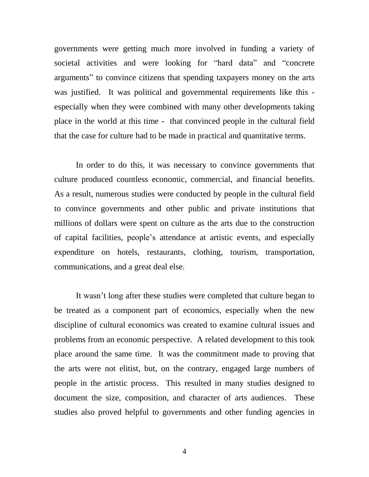governments were getting much more involved in funding a variety of societal activities and were looking for "hard data" and "concrete arguments" to convince citizens that spending taxpayers money on the arts was justified. It was political and governmental requirements like this especially when they were combined with many other developments taking place in the world at this time - that convinced people in the cultural field that the case for culture had to be made in practical and quantitative terms.

In order to do this, it was necessary to convince governments that culture produced countless economic, commercial, and financial benefits. As a result, numerous studies were conducted by people in the cultural field to convince governments and other public and private institutions that millions of dollars were spent on culture as the arts due to the construction of capital facilities, people's attendance at artistic events, and especially expenditure on hotels, restaurants, clothing, tourism, transportation, communications, and a great deal else.

It wasn't long after these studies were completed that culture began to be treated as a component part of economics, especially when the new discipline of cultural economics was created to examine cultural issues and problems from an economic perspective. A related development to this took place around the same time. It was the commitment made to proving that the arts were not elitist, but, on the contrary, engaged large numbers of people in the artistic process. This resulted in many studies designed to document the size, composition, and character of arts audiences. These studies also proved helpful to governments and other funding agencies in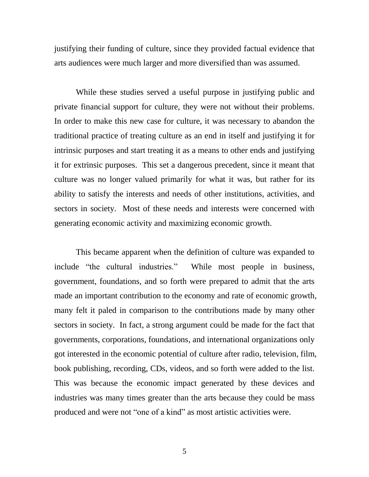justifying their funding of culture, since they provided factual evidence that arts audiences were much larger and more diversified than was assumed.

While these studies served a useful purpose in justifying public and private financial support for culture, they were not without their problems. In order to make this new case for culture, it was necessary to abandon the traditional practice of treating culture as an end in itself and justifying it for intrinsic purposes and start treating it as a means to other ends and justifying it for extrinsic purposes. This set a dangerous precedent, since it meant that culture was no longer valued primarily for what it was, but rather for its ability to satisfy the interests and needs of other institutions, activities, and sectors in society. Most of these needs and interests were concerned with generating economic activity and maximizing economic growth.

This became apparent when the definition of culture was expanded to include "the cultural industries." While most people in business, government, foundations, and so forth were prepared to admit that the arts made an important contribution to the economy and rate of economic growth, many felt it paled in comparison to the contributions made by many other sectors in society. In fact, a strong argument could be made for the fact that governments, corporations, foundations, and international organizations only got interested in the economic potential of culture after radio, television, film, book publishing, recording, CDs, videos, and so forth were added to the list. This was because the economic impact generated by these devices and industries was many times greater than the arts because they could be mass produced and were not "one of a kind" as most artistic activities were.

5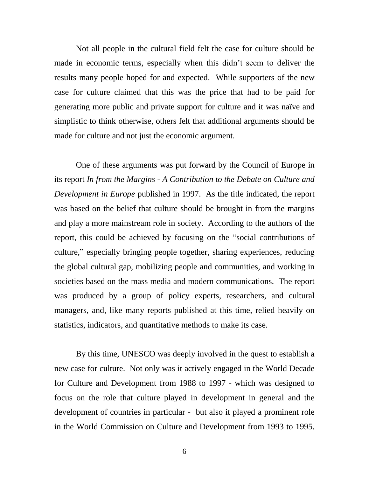Not all people in the cultural field felt the case for culture should be made in economic terms, especially when this didn't seem to deliver the results many people hoped for and expected. While supporters of the new case for culture claimed that this was the price that had to be paid for generating more public and private support for culture and it was naïve and simplistic to think otherwise, others felt that additional arguments should be made for culture and not just the economic argument.

One of these arguments was put forward by the Council of Europe in its report *In from the Margins - A Contribution to the Debate on Culture and Development in Europe* published in 1997. As the title indicated, the report was based on the belief that culture should be brought in from the margins and play a more mainstream role in society. According to the authors of the report, this could be achieved by focusing on the "social contributions of culture," especially bringing people together, sharing experiences, reducing the global cultural gap, mobilizing people and communities, and working in societies based on the mass media and modern communications. The report was produced by a group of policy experts, researchers, and cultural managers, and, like many reports published at this time, relied heavily on statistics, indicators, and quantitative methods to make its case.

By this time, UNESCO was deeply involved in the quest to establish a new case for culture. Not only was it actively engaged in the World Decade for Culture and Development from 1988 to 1997 - which was designed to focus on the role that culture played in development in general and the development of countries in particular - but also it played a prominent role in the World Commission on Culture and Development from 1993 to 1995.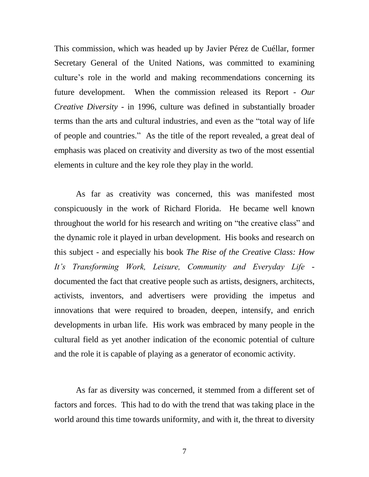This commission, which was headed up by Javier Pérez de Cuéllar, former Secretary General of the United Nations, was committed to examining culture's role in the world and making recommendations concerning its future development. When the commission released its Report - *Our Creative Diversity* - in 1996, culture was defined in substantially broader terms than the arts and cultural industries, and even as the "total way of life of people and countries." As the title of the report revealed, a great deal of emphasis was placed on creativity and diversity as two of the most essential elements in culture and the key role they play in the world.

As far as creativity was concerned, this was manifested most conspicuously in the work of Richard Florida. He became well known throughout the world for his research and writing on "the creative class" and the dynamic role it played in urban development. His books and research on this subject - and especially his book *The Rise of the Creative Class: How It's Transforming Work, Leisure, Community and Everyday Life* documented the fact that creative people such as artists, designers, architects, activists, inventors, and advertisers were providing the impetus and innovations that were required to broaden, deepen, intensify, and enrich developments in urban life. His work was embraced by many people in the cultural field as yet another indication of the economic potential of culture and the role it is capable of playing as a generator of economic activity.

As far as diversity was concerned, it stemmed from a different set of factors and forces. This had to do with the trend that was taking place in the world around this time towards uniformity, and with it, the threat to diversity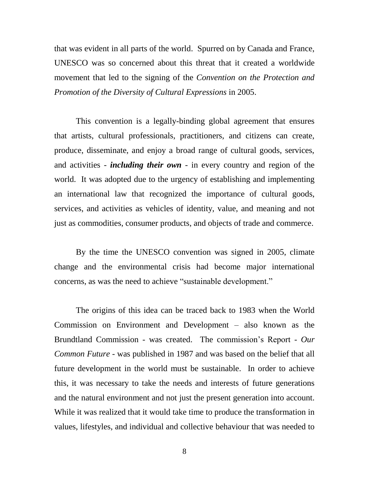that was evident in all parts of the world. Spurred on by Canada and France, UNESCO was so concerned about this threat that it created a worldwide movement that led to the signing of the *Convention on the Protection and Promotion of the Diversity of Cultural Expressions* in 2005.

This convention is a legally-binding global agreement that ensures that artists, cultural professionals, practitioners, and citizens can create, produce, disseminate, and enjoy a broad range of cultural goods, services, and activities - *including their own* - in every country and region of the world. It was adopted due to the urgency of establishing and implementing an international law that recognized the importance of cultural goods, services, and activities as vehicles of identity, value, and meaning and not just as commodities, consumer products, and objects of trade and commerce.

By the time the UNESCO convention was signed in 2005, climate change and the environmental crisis had become major international concerns, as was the need to achieve "sustainable development."

The origins of this idea can be traced back to 1983 when the World Commission on Environment and Development – also known as the Brundtland Commission - was created. The commission's Report - *Our Common Future* - was published in 1987 and was based on the belief that all future development in the world must be sustainable. In order to achieve this, it was necessary to take the needs and interests of future generations and the natural environment and not just the present generation into account. While it was realized that it would take time to produce the transformation in values, lifestyles, and individual and collective behaviour that was needed to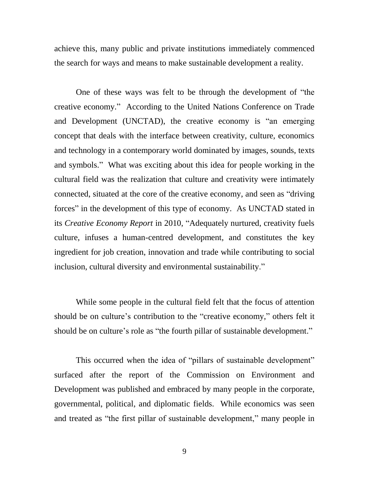achieve this, many public and private institutions immediately commenced the search for ways and means to make sustainable development a reality.

One of these ways was felt to be through the development of "the creative economy." According to the United Nations Conference on Trade and Development (UNCTAD), the creative economy is "an emerging concept that deals with the interface between creativity, culture, economics and technology in a contemporary world dominated by images, sounds, texts and symbols." What was exciting about this idea for people working in the cultural field was the realization that culture and creativity were intimately connected, situated at the core of the creative economy, and seen as "driving forces" in the development of this type of economy. As UNCTAD stated in its *Creative Economy Report* in 2010, "Adequately nurtured, creativity fuels culture, infuses a human-centred development, and constitutes the key ingredient for job creation, innovation and trade while contributing to social inclusion, cultural diversity and environmental sustainability."

While some people in the cultural field felt that the focus of attention should be on culture's contribution to the "creative economy," others felt it should be on culture's role as "the fourth pillar of sustainable development."

This occurred when the idea of "pillars of sustainable development" surfaced after the report of the Commission on Environment and Development was published and embraced by many people in the corporate, governmental, political, and diplomatic fields. While economics was seen and treated as "the first pillar of sustainable development," many people in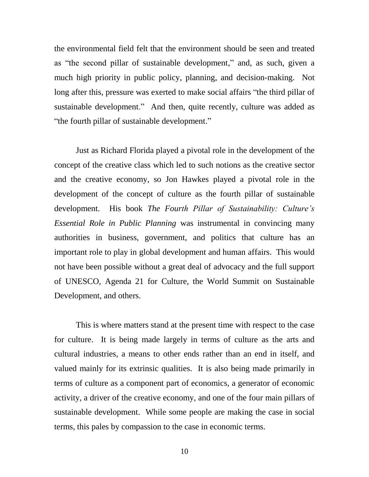the environmental field felt that the environment should be seen and treated as "the second pillar of sustainable development," and, as such, given a much high priority in public policy, planning, and decision-making. Not long after this, pressure was exerted to make social affairs "the third pillar of sustainable development." And then, quite recently, culture was added as "the fourth pillar of sustainable development."

Just as Richard Florida played a pivotal role in the development of the concept of the creative class which led to such notions as the creative sector and the creative economy, so Jon Hawkes played a pivotal role in the development of the concept of culture as the fourth pillar of sustainable development. His book *The Fourth Pillar of Sustainability: Culture's Essential Role in Public Planning* was instrumental in convincing many authorities in business, government, and politics that culture has an important role to play in global development and human affairs. This would not have been possible without a great deal of advocacy and the full support of UNESCO, Agenda 21 for Culture, the World Summit on Sustainable Development, and others.

This is where matters stand at the present time with respect to the case for culture. It is being made largely in terms of culture as the arts and cultural industries, a means to other ends rather than an end in itself, and valued mainly for its extrinsic qualities. It is also being made primarily in terms of culture as a component part of economics, a generator of economic activity, a driver of the creative economy, and one of the four main pillars of sustainable development. While some people are making the case in social terms, this pales by compassion to the case in economic terms.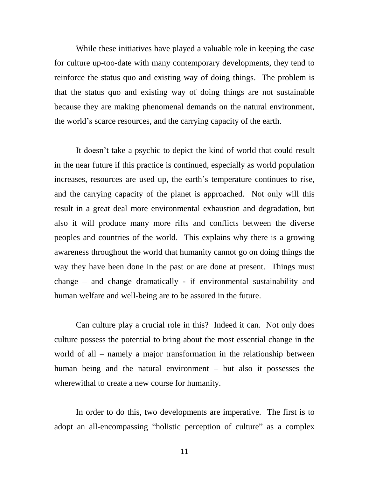While these initiatives have played a valuable role in keeping the case for culture up-too-date with many contemporary developments, they tend to reinforce the status quo and existing way of doing things. The problem is that the status quo and existing way of doing things are not sustainable because they are making phenomenal demands on the natural environment, the world's scarce resources, and the carrying capacity of the earth.

It doesn't take a psychic to depict the kind of world that could result in the near future if this practice is continued, especially as world population increases, resources are used up, the earth's temperature continues to rise, and the carrying capacity of the planet is approached. Not only will this result in a great deal more environmental exhaustion and degradation, but also it will produce many more rifts and conflicts between the diverse peoples and countries of the world. This explains why there is a growing awareness throughout the world that humanity cannot go on doing things the way they have been done in the past or are done at present. Things must change – and change dramatically - if environmental sustainability and human welfare and well-being are to be assured in the future.

Can culture play a crucial role in this? Indeed it can. Not only does culture possess the potential to bring about the most essential change in the world of all – namely a major transformation in the relationship between human being and the natural environment – but also it possesses the wherewithal to create a new course for humanity.

In order to do this, two developments are imperative. The first is to adopt an all-encompassing "holistic perception of culture" as a complex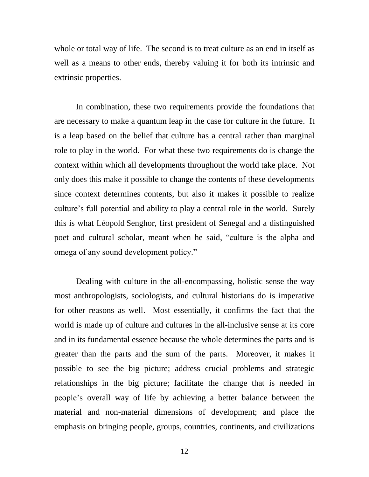whole or total way of life. The second is to treat culture as an end in itself as well as a means to other ends, thereby valuing it for both its intrinsic and extrinsic properties.

In combination, these two requirements provide the foundations that are necessary to make a quantum leap in the case for culture in the future. It is a leap based on the belief that culture has a central rather than marginal role to play in the world. For what these two requirements do is change the context within which all developments throughout the world take place. Not only does this make it possible to change the contents of these developments since context determines contents, but also it makes it possible to realize culture's full potential and ability to play a central role in the world. Surely this is what Léopold Senghor, first president of Senegal and a distinguished poet and cultural scholar, meant when he said, "culture is the alpha and omega of any sound development policy."

Dealing with culture in the all-encompassing, holistic sense the way most anthropologists, sociologists, and cultural historians do is imperative for other reasons as well. Most essentially, it confirms the fact that the world is made up of culture and cultures in the all-inclusive sense at its core and in its fundamental essence because the whole determines the parts and is greater than the parts and the sum of the parts. Moreover, it makes it possible to see the big picture; address crucial problems and strategic relationships in the big picture; facilitate the change that is needed in people's overall way of life by achieving a better balance between the material and non-material dimensions of development; and place the emphasis on bringing people, groups, countries, continents, and civilizations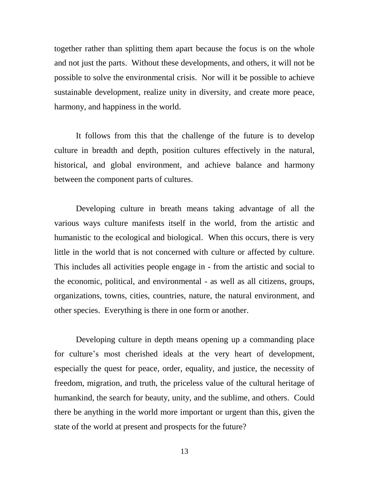together rather than splitting them apart because the focus is on the whole and not just the parts. Without these developments, and others, it will not be possible to solve the environmental crisis. Nor will it be possible to achieve sustainable development, realize unity in diversity, and create more peace, harmony, and happiness in the world.

It follows from this that the challenge of the future is to develop culture in breadth and depth, position cultures effectively in the natural, historical, and global environment, and achieve balance and harmony between the component parts of cultures.

Developing culture in breath means taking advantage of all the various ways culture manifests itself in the world, from the artistic and humanistic to the ecological and biological. When this occurs, there is very little in the world that is not concerned with culture or affected by culture. This includes all activities people engage in - from the artistic and social to the economic, political, and environmental - as well as all citizens, groups, organizations, towns, cities, countries, nature, the natural environment, and other species. Everything is there in one form or another.

Developing culture in depth means opening up a commanding place for culture's most cherished ideals at the very heart of development, especially the quest for peace, order, equality, and justice, the necessity of freedom, migration, and truth, the priceless value of the cultural heritage of humankind, the search for beauty, unity, and the sublime, and others. Could there be anything in the world more important or urgent than this, given the state of the world at present and prospects for the future?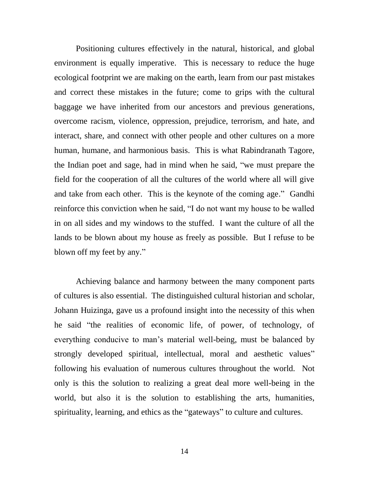Positioning cultures effectively in the natural, historical, and global environment is equally imperative. This is necessary to reduce the huge ecological footprint we are making on the earth, learn from our past mistakes and correct these mistakes in the future; come to grips with the cultural baggage we have inherited from our ancestors and previous generations, overcome racism, violence, oppression, prejudice, terrorism, and hate, and interact, share, and connect with other people and other cultures on a more human, humane, and harmonious basis. This is what Rabindranath Tagore, the Indian poet and sage, had in mind when he said, "we must prepare the field for the cooperation of all the cultures of the world where all will give and take from each other. This is the keynote of the coming age." Gandhi reinforce this conviction when he said, "I do not want my house to be walled in on all sides and my windows to the stuffed. I want the culture of all the lands to be blown about my house as freely as possible. But I refuse to be blown off my feet by any."

Achieving balance and harmony between the many component parts of cultures is also essential. The distinguished cultural historian and scholar, Johann Huizinga, gave us a profound insight into the necessity of this when he said "the realities of economic life, of power, of technology, of everything conducive to man's material well-being, must be balanced by strongly developed spiritual, intellectual, moral and aesthetic values" following his evaluation of numerous cultures throughout the world. Not only is this the solution to realizing a great deal more well-being in the world, but also it is the solution to establishing the arts, humanities, spirituality, learning, and ethics as the "gateways" to culture and cultures.

14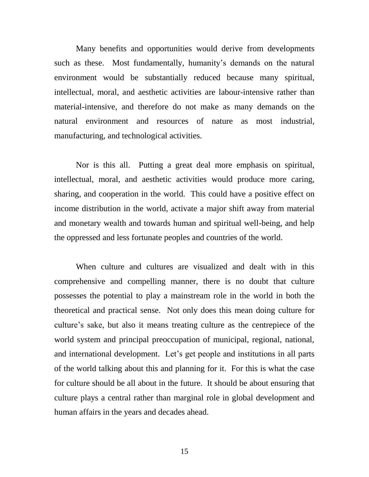Many benefits and opportunities would derive from developments such as these. Most fundamentally, humanity's demands on the natural environment would be substantially reduced because many spiritual, intellectual, moral, and aesthetic activities are labour-intensive rather than material-intensive, and therefore do not make as many demands on the natural environment and resources of nature as most industrial, manufacturing, and technological activities.

Nor is this all. Putting a great deal more emphasis on spiritual, intellectual, moral, and aesthetic activities would produce more caring, sharing, and cooperation in the world. This could have a positive effect on income distribution in the world, activate a major shift away from material and monetary wealth and towards human and spiritual well-being, and help the oppressed and less fortunate peoples and countries of the world.

When culture and cultures are visualized and dealt with in this comprehensive and compelling manner, there is no doubt that culture possesses the potential to play a mainstream role in the world in both the theoretical and practical sense. Not only does this mean doing culture for culture's sake, but also it means treating culture as the centrepiece of the world system and principal preoccupation of municipal, regional, national, and international development. Let's get people and institutions in all parts of the world talking about this and planning for it. For this is what the case for culture should be all about in the future. It should be about ensuring that culture plays a central rather than marginal role in global development and human affairs in the years and decades ahead.